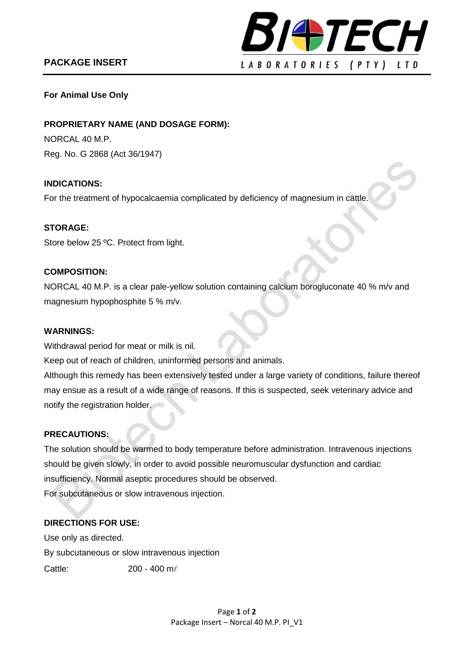# **PACKAGE INSERT**



### **For Animal Use Only**

**PROPRIETARY NAME (AND DOSAGE FORM):**

NORCAL 40 M.P. Reg. No. G 2868 (Act 36/1947)

### **INDICATIONS:**

For the treatment of hypocalcaemia complicated by deficiency of magnesium in cattle.

#### **STORAGE:**

Store below 25 °C. Protect from light.

### **COMPOSITION:**

NORCAL 40 M.P. is a clear pale-yellow solution containing calcium borogluconate 40 % m/v and magnesium hypophosphite 5 % m/v.

#### **WARNINGS:**

Withdrawal period for meat or milk is nil.

Keep out of reach of children, uninformed persons and animals.

Although this remedy has been extensively tested under a large variety of conditions, failure thereof may ensue as a result of a wide range of reasons. If this is suspected, seek veterinary advice and notify the registration holder.

#### **PRECAUTIONS:**

The solution should be warmed to body temperature before administration. Intravenous injections should be given slowly, in order to avoid possible neuromuscular dysfunction and cardiac insufficiency. Normal aseptic procedures should be observed. For subcutaneous or slow intravenous injection.

## **DIRECTIONS FOR USE:**

Use only as directed. By subcutaneous or slow intravenous injection Cattle: 200 - 400 m/